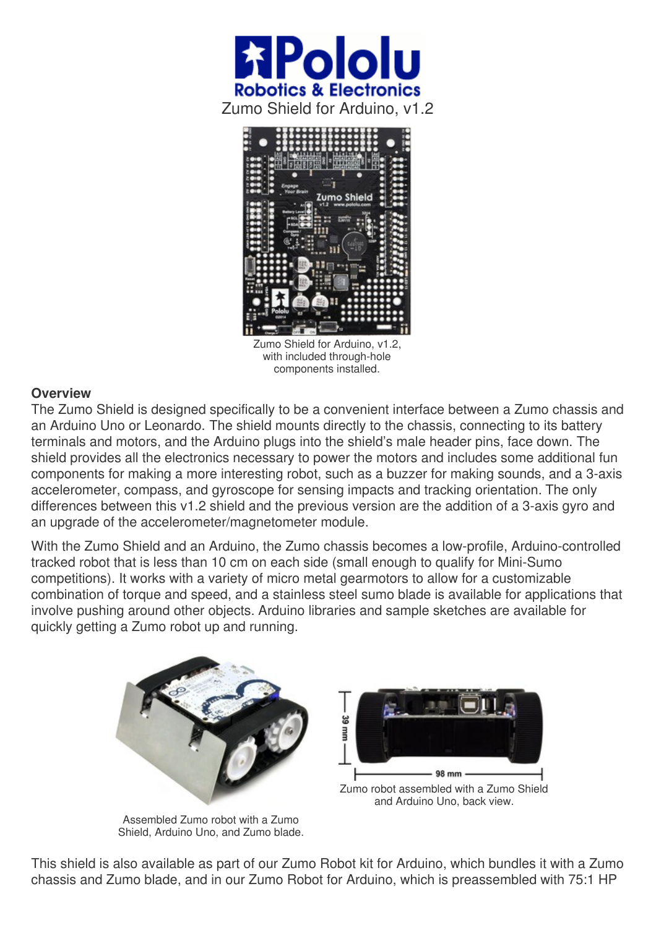



Zumo Shield for Arduino, v1.2, with included through-hole components installed.

## **Overview**

The Zumo Shield is designed specifically to be a convenient interface between a Zumo chassis and an Arduino Uno or Leonardo. The shield mounts directly to the chassis, connecting to its battery terminals and motors, and the Arduino plugs into the shield's male header pins, face down. The shield provides all the electronics necessary to power the motors and includes some additional fun components for making a more interesting robot, such as a buzzer for making sounds, and a 3-axis accelerometer, compass, and gyroscope for sensing impacts and tracking orientation. The only differences between this v1.2 shield and the previous version are the addition of a 3-axis gyro and an upgrade of the accelerometer/magnetometer module.

With the Zumo Shield and an Arduino, the Zumo chassis becomes a low-profile, Arduino-controlled tracked robot that is less than 10 cm on each side (small enough to qualify for Mini-Sumo competitions). It works with a variety of micro metal gearmotors to allow for a customizable combination of torque and speed, and a stainless steel sumo blade is available for applications that involve pushing around other objects. Arduino libraries and sample sketches are available for quickly getting a Zumo robot up and running.



Assembled Zumo robot with a Zumo Shield, Arduino Uno, and Zumo blade.

This shield is also available as part of our Zumo Robot kit for Arduino, which bundles it with a Zumo chassis and Zumo blade, and in our Zumo Robot for Arduino, which is preassembled with 75:1 HP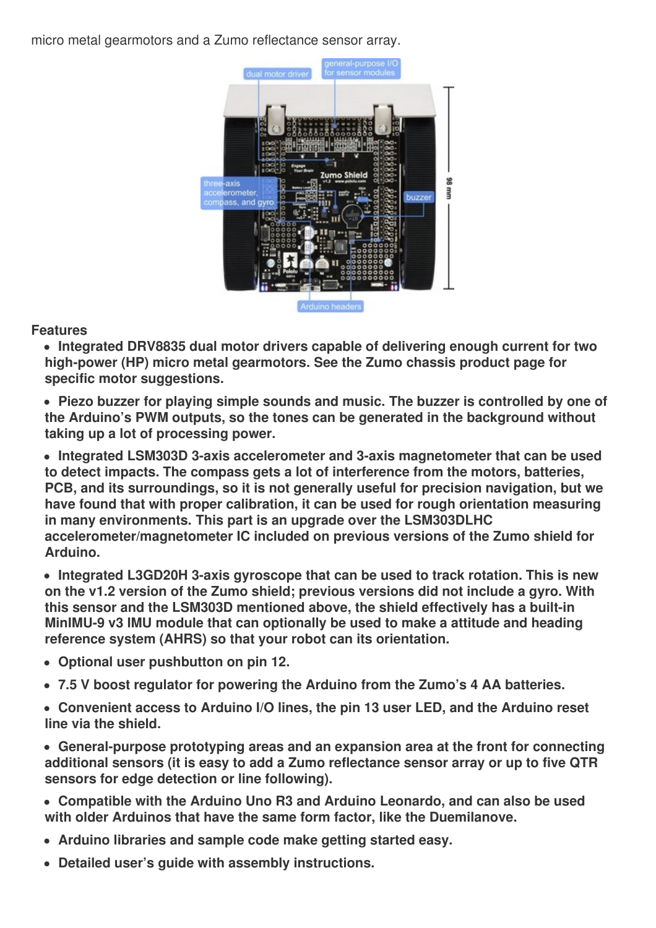micro metal gearmotors and a Zumo reflectance sensor array.



## **Features**

**Integrated DRV8835 dual motor drivers capable of delivering enough current for two high-power (HP) micro metal gearmotors. See the Zumo chassis product page for specific motor suggestions.**

**Piezo buzzer for playing simple sounds and music. The buzzer is controlled by one of the Arduino's PWM outputs, so the tones can be generated in the background without taking up a lot of processing power.**

**Integrated LSM303D 3-axis accelerometer and 3-axis magnetometer that can be used to detect impacts. The compass gets a lot of interference from the motors, batteries, PCB, and its surroundings, so it is not generally useful for precision navigation, but we have found that with proper calibration, it can be used for rough orientation measuring in many environments. This part is an upgrade over the LSM303DLHC accelerometer/magnetometer IC included on previous versions of the Zumo shield for Arduino.**

**Integrated L3GD20H 3-axis gyroscope that can be used to track rotation. This is new on the v1.2 version of the Zumo shield; previous versions did not include a gyro. With this sensor and the LSM303D mentioned above, the shield effectively has a built-in MinIMU-9 v3 IMU module that can optionally be used to make a attitude and heading reference system (AHRS) so that your robot can its orientation.**

- **Optional user pushbutton on pin 12.**
- **7.5 V boost regulator for powering the Arduino from the Zumo's 4 AA batteries.**
- **Convenient access to Arduino I/O lines, the pin 13 user LED, and the Arduino reset line via the shield.**

**General-purpose prototyping areas and an expansion area at the front for connecting additional sensors (it is easy to add a Zumo reflectance sensor array or up to five QTR sensors for edge detection or line following).**

**Compatible with the Arduino Uno R3 and Arduino Leonardo, and can also be used with older Arduinos that have the same form factor, like the Duemilanove.**

- **Arduino libraries and sample code make getting started easy.**
- **Detailed user's guide with assembly instructions.**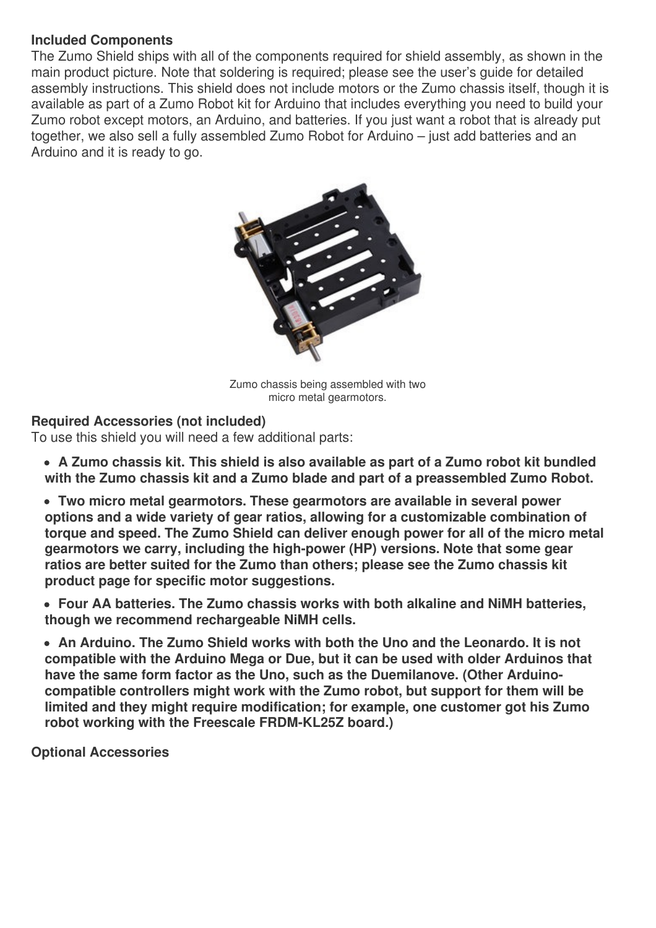## **Included Components**

The Zumo Shield ships with all of the components required for shield assembly, as shown in the main product picture. Note that soldering is required; please see the user's guide for detailed assembly instructions. This shield does not include motors or the Zumo chassis itself, though it is available as part of a Zumo Robot kit for Arduino that includes everything you need to build your Zumo robot except motors, an Arduino, and batteries. If you just want a robot that is already put together, we also sell a fully assembled Zumo Robot for Arduino – just add batteries and an Arduino and it is ready to go.



Zumo chassis being assembled with two micro metal gearmotors.

## **Required Accessories (not included)**

To use this shield you will need a few additional parts:

- **A Zumo chassis kit. This shield is also available as part of a Zumo robot kit bundled with the Zumo chassis kit and a Zumo blade and part of a preassembled Zumo Robot.**
- **Two micro metal gearmotors. These gearmotors are available in several power options and a wide variety of gear ratios, allowing for a customizable combination of torque and speed. The Zumo Shield can deliver enough power for all of the micro metal gearmotors we carry, including the high-power (HP) versions. Note that some gear ratios are better suited for the Zumo than others; please see the Zumo chassis kit product page for specific motor suggestions.**
- **Four AA batteries. The Zumo chassis works with both alkaline and NiMH batteries, though we recommend rechargeable NiMH cells.**
- **An Arduino. The Zumo Shield works with both the Uno and the Leonardo. It is not compatible with the Arduino Mega or Due, but it can be used with older Arduinos that have the same form factor as the Uno, such as the Duemilanove. (Other Arduinocompatible controllers might work with the Zumo robot, but support for them will be limited and they might require modification; for example, one customer got his Zumo robot working with the Freescale FRDM-KL25Z board.)**

**Optional Accessories**